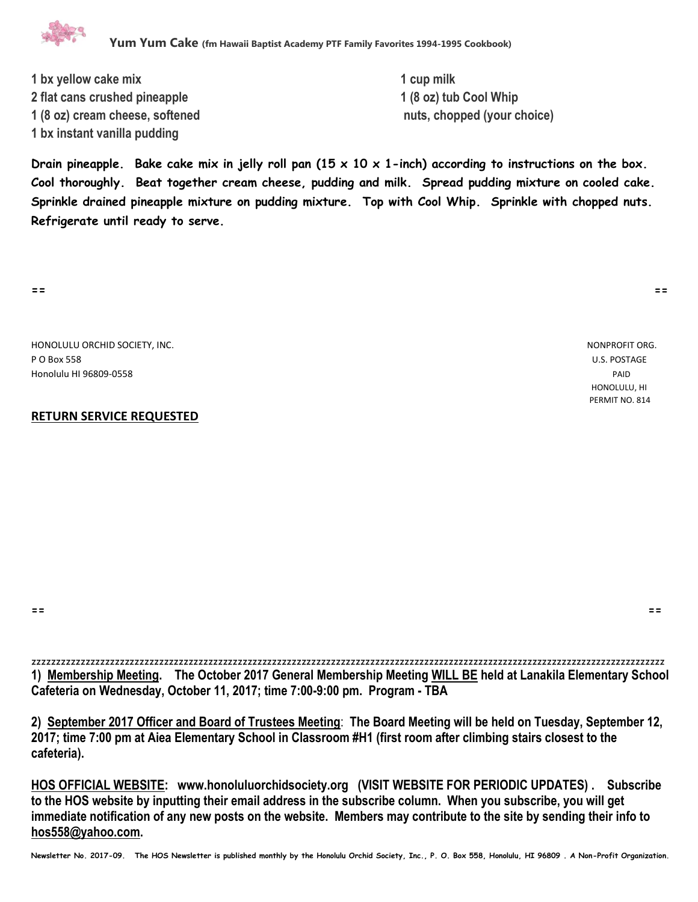

**1 bx yellow cake mix 1 cup milk 2 flat cans crushed pineapple 1 (8 oz) tub Cool Whip 1 (8 oz) cream cheese, softened nuts, chopped (your choice) 1 bx instant vanilla pudding**

**Drain pineapple. Bake cake mix in jelly roll pan (15 x 10 x 1-inch) according to instructions on the box. Cool thoroughly. Beat together cream cheese, pudding and milk. Spread pudding mixture on cooled cake. Sprinkle drained pineapple mixture on pudding mixture. Top with Cool Whip. Sprinkle with chopped nuts. Refrigerate until ready to serve.**

**== ==**

HONOLULU ORCHID SOCIETY, INC. NONPROFIT ORG. P O Box 558 U.S. POSTAGE Honolulu HI 96809-0558 PAID

## **RETURN SERVICE REQUESTED**

 HONOLULU, HI PERMIT NO. 814

**== ==**

zzzzzzzzzzzzzzzzzzzzzzzzzzzzzzzzzzzzzzzzzzzzzzzzzzzzzzzzzzzzzzzzzzzzzzzzzzzzzzzzzzzzzzzzzzzzzzzzzzzzzzzzzzzzzzzzzzzzzzzzzzzzzzzzz **1) Membership Meeting. The October 2017 General Membership Meeting WILL BE held at Lanakila Elementary School Cafeteria on Wednesday, October 11, 2017; time 7:00-9:00 pm. Program - TBA**

**2) September 2017 Officer and Board of Trustees Meeting**: **The Board Meeting will be held on Tuesday, September 12, 2017; time 7:00 pm at Aiea Elementary School in Classroom #H1 (first room after climbing stairs closest to the cafeteria).** 

**HOS OFFICIAL WEBSITE: www.honoluluorchidsociety.org (VISIT WEBSITE FOR PERIODIC UPDATES) . Subscribe to the HOS website by inputting their email address in the subscribe column. When you subscribe, you will get immediate notification of any new posts on the website. Members may contribute to the site by sending their info to hos558@yahoo.com.** 

**Newsletter No. 2017-09. The HOS Newsletter is published monthly by the Honolulu Orchid Society, Inc., P. O. Box 558, Honolulu, HI 96809 . A Non-Profit Organization.**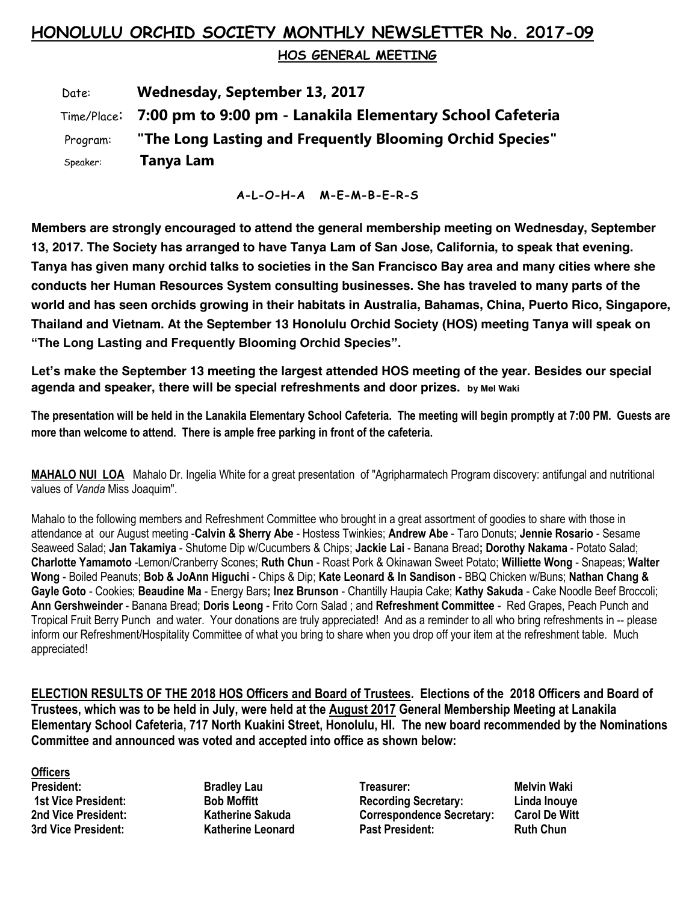## **HONOLULU ORCHID SOCIETY MONTHLY NEWSLETTER No. 2017-09**

 **HOS GENERAL MEETING** 

 Date: **Wednesday, September 13, 2017** Time/Place: **7:00 pm to 9:00 pm - Lanakila Elementary School Cafeteria** Program: **"The Long Lasting and Frequently Blooming Orchid Species"** Speaker: **Tanya Lam**

**A-L-O-H-A M-E-M-B-E-R-S**

**Members are strongly encouraged to attend the general membership meeting on Wednesday, September 13, 2017. The Society has arranged to have Tanya Lam of San Jose, California, to speak that evening. Tanya has given many orchid talks to societies in the San Francisco Bay area and many cities where she conducts her Human Resources System consulting businesses. She has traveled to many parts of the world and has seen orchids growing in their habitats in Australia, Bahamas, China, Puerto Rico, Singapore, Thailand and Vietnam. At the September 13 Honolulu Orchid Society (HOS) meeting Tanya will speak on "The Long Lasting and Frequently Blooming Orchid Species".**

**Let's make the September 13 meeting the largest attended HOS meeting of the year. Besides our special agenda and speaker, there will be special refreshments and door prizes. by Mel Waki**

**The presentation will be held in the Lanakila Elementary School Cafeteria. The meeting will begin promptly at 7:00 PM. Guests are more than welcome to attend. There is ample free parking in front of the cafeteria.**

**MAHALO NUI LOA** Mahalo Dr. Ingelia White for a great presentation of "Agripharmatech Program discovery: antifungal and nutritional values of *Vanda* Miss Joaquim".

Mahalo to the following members and Refreshment Committee who brought in a great assortment of goodies to share with those in attendance at our August meeting -**Calvin & Sherry Abe** - Hostess Twinkies; **Andrew Abe** - Taro Donuts; **Jennie Rosario** - Sesame Seaweed Salad; **Jan Takamiya** - Shutome Dip w/Cucumbers & Chips; **Jackie Lai** - Banana Bread**; Dorothy Nakama** - Potato Salad; **Charlotte Yamamoto** -Lemon/Cranberry Scones; **Ruth Chun** - Roast Pork & Okinawan Sweet Potato; **Williette Wong** - Snapeas; **Walter Wong** - Boiled Peanuts; **Bob & JoAnn Higuchi** - Chips & Dip; **Kate Leonard & In Sandison** - BBQ Chicken w/Buns; **Nathan Chang & Gayle Goto** - Cookies; **Beaudine Ma** - Energy Bars**; Inez Brunson** - Chantilly Haupia Cake; **Kathy Sakuda** - Cake Noodle Beef Broccoli; **Ann Gershweinder** - Banana Bread; **Doris Leong** - Frito Corn Salad ; and **Refreshment Committee** - Red Grapes, Peach Punch and Tropical Fruit Berry Punch and water. Your donations are truly appreciated! And as a reminder to all who bring refreshments in -- please inform our Refreshment/Hospitality Committee of what you bring to share when you drop off your item at the refreshment table. Much appreciated!

**ELECTION RESULTS OF THE 2018 HOS Officers and Board of Trustees. Elections of the 2018 Officers and Board of Trustees, which was to be held in July, were held at the August 2017 General Membership Meeting at Lanakila Elementary School Cafeteria, 717 North Kuakini Street, Honolulu, HI. The new board recommended by the Nominations Committee and announced was voted and accepted into office as shown below:**

**Officers** 

**3rd Vice President:** Katherine Leonard

**President:** Bradley Lau **Treasurer:** Melvin Waki **Network 1st Vice President: Bob Moffitt Recording Secretary: Linda Inouye 2** Correspondence Secretary: Carol De Witters Correspondence Secretary: Carol De Witters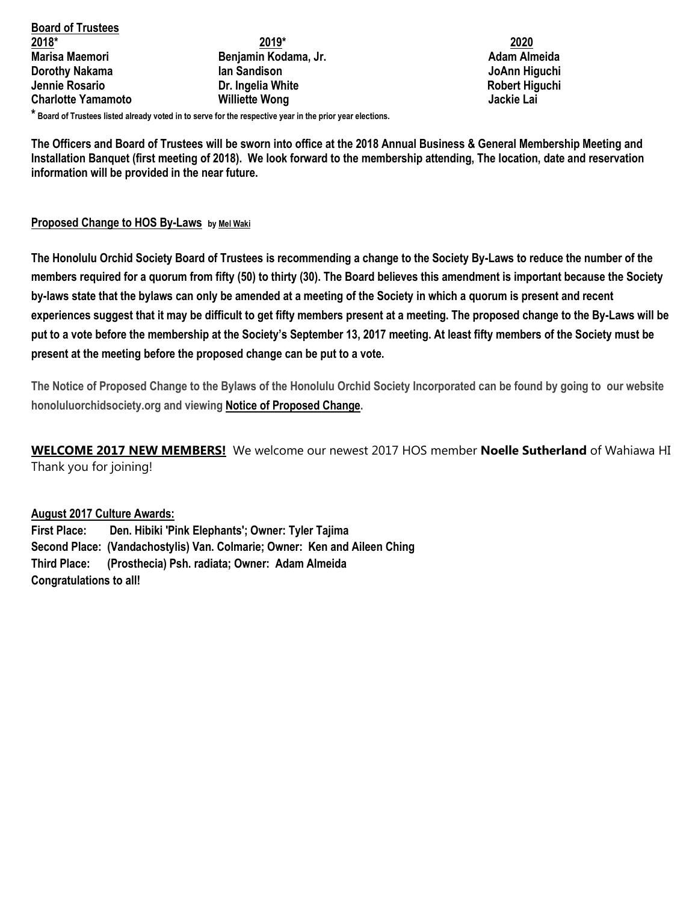**Board of Trustees 2018\* 2019\* 2020 Marisa Maemori Benjamin Kodama, Jr. Adam Almeida Dorothy Nakama** Ian Sandison **Ian Sandison** International School and The Second View International School and The Second View International School and The Second View International School and The Second View International **Jennie Rosario Crimings Community Community Crimings Dr. Ingelia White Crimings Crimings Robert Higuchi Charlotte Yamamoto Williette Wong Jackie Lai**

**\* Board of Trustees listed already voted in to serve for the respective year in the prior year elections.**

**The Officers and Board of Trustees will be sworn into office at the 2018 Annual Business & General Membership Meeting and Installation Banquet (first meeting of 2018). We look forward to the membership attending, The location, date and reservation information will be provided in the near future.**

## **[Proposed Change to HOS](http://www.honoluluorchidsociety.org/2017/08/14/proposed-change-to-hos-by-laws/) By-Laws b[y Mel Waki](http://www.honoluluorchidsociety.org/?author=3)**

**The Honolulu Orchid Society Board of Trustees is recommending a change to the Society By-Laws to reduce the number of the members required for a quorum from fifty (50) to thirty (30). The Board believes this amendment is important because the Society by-laws state that the bylaws can only be amended at a meeting of the Society in which a quorum is present and recent experiences suggest that it may be difficult to get fifty members present at a meeting. The proposed change to the By-Laws will be put to a vote before the membership at the Society's September 13, 2017 meeting. At least fifty members of the Society must be present at the meeting before the proposed change can be put to a vote.**

**The Notice of Proposed Change to the Bylaws of the Honolulu Orchid Society Incorporated can be found by going to our website honoluluorchidsociety.org and viewing [Notice of Proposed Change.](http://www.honoluluorchidsociety.org/wp-content/uploads/2017/08/Notice-of-proposed-Change.pdf)**

**WELCOME 2017 NEW MEMBERS!** We welcome our newest 2017 HOS member **Noelle Sutherland** of Wahiawa HI Thank you for joining!

## **August 2017 Culture Awards:**

**First Place: Den. Hibiki 'Pink Elephants'; Owner: Tyler Tajima Second Place: (Vandachostylis) Van. Colmarie; Owner: Ken and Aileen Ching Third Place: (Prosthecia) Psh. radiata; Owner: Adam Almeida Congratulations to all!**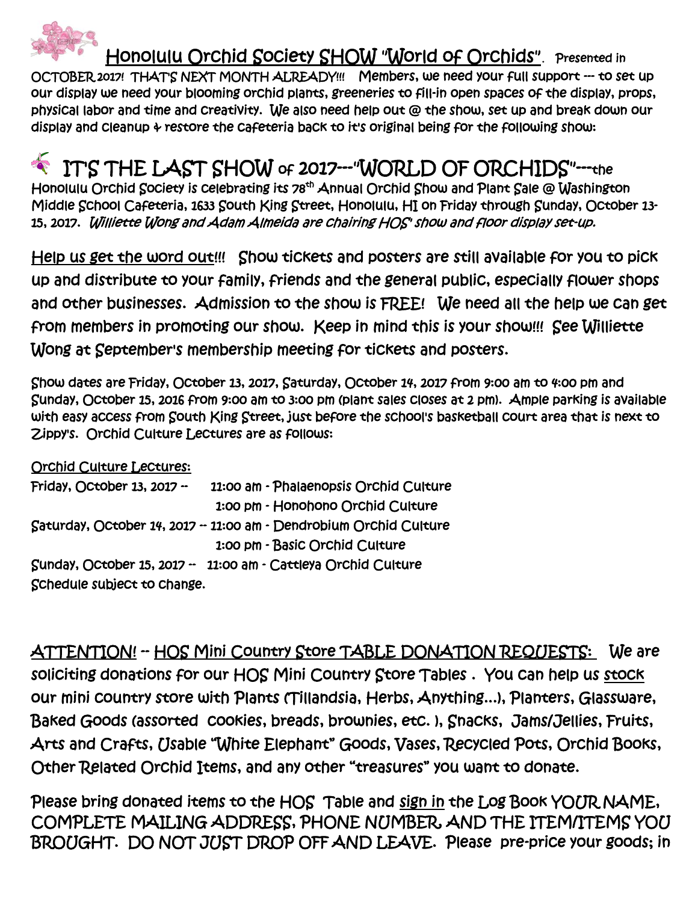

 Honolulu Orchid Society SHOW "World of Orchids"**.** Presented in OCTOBER 2017! THAT'S NEXT MONTH ALREADY!!! Members, we need your full support --- to set up our display we need your blooming orchid plants, greeneries to fill-in open spaces of the display, props, physical labor and time and creativity. We also need help out @ the show, set up and break down our display and cleanup & restore the cafeteria back to it's original being for the following show:

IT'S THE LAST SHOW of 2017---"WORLD OF ORCHIDS"---the Honolulu Orchid Society is celebrating its 78<sup>th</sup> Annual Orchid Show and Plant Sale @ Washington Middle School Cafeteria, 1633 South King Street, Honolulu, HI on Friday through Sunday, October 13- 15, 2017. Williette Wong and Adam Almeida are chairing HOS' show and floor display set-up.

Help us get the word out!!! Show tickets and posters are still available for you to pick up and distribute to your family, friends and the general public, especially flower shops and other businesses. Admission to the show is FREE! We need all the help we can get from members in promoting our show. Keep in mind this is your show!!! See Williette Wong at September's membership meeting for tickets and posters.

Show dates are Friday, October 13, 2017, Saturday, October 14, 2017 from 9:00 am to 4:00 pm and Sunday, October 15, 2016 from 9:00 am to 3:00 pm (plant sales closes at 2 pm). Ample parking is available with easy access from South King Street, just before the school's basketball court area that is next to Zippy's. Orchid Culture Lectures are as follows:

Orchid Culture Lectures:

| Friday, October 13, 2017 -  | 11:00 am - Phalaenopsis Orchid Culture                            |
|-----------------------------|-------------------------------------------------------------------|
|                             | 1:00 pm - Honohono Orchid Culture                                 |
|                             | Saturday, October 14, 2017 - 11:00 am - Dendrobium Orchid Culture |
|                             | 1:00 pm - Basic Orchid Culture                                    |
|                             | Sunday, October 15, 2017 - 11:00 am - Cattleya Orchid Culture     |
| Schedule subject to change. |                                                                   |

ATTENTION! -- HOS Mini Country Store TABLE DONATION REQUESTS: We are soliciting donations for our HOS Mini Country Store Tables . You can help us stock our mini country store with Plants (Tillandsia, Herbs, Anything...), Planters, Glassware, Baked Goods (assorted cookies, breads, brownies, etc. ), Snacks, Jams/Jellies, Fruits, Arts and Crafts, Usable "White Elephant" Goods, Vases, Recycled Pots, Orchid Books, Other Related Orchid Items, and any other "treasures" you want to donate.

Please bring donated items to the HOS Table and sign in the Log Book YOUR NAME, COMPLETE MAILING ADDRESS, PHONE NUMBER, AND THE ITEM/ITEMS YOU BROUGHT. DO NOT JUST DROP OFF AND LEAVE. Please pre-price your goods; in